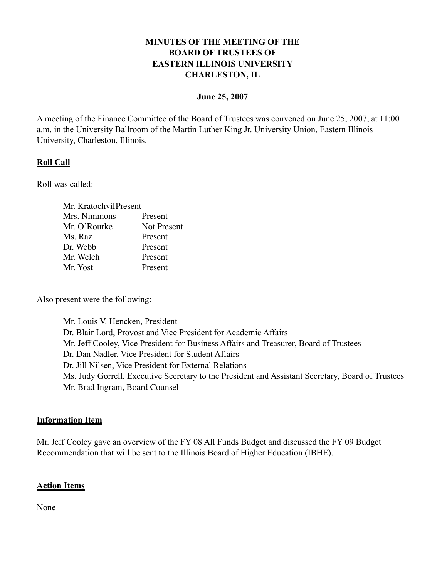## **MINUTES OF THE MEETING OF THE BOARD OF TRUSTEES OF EASTERN ILLINOIS UNIVERSITY CHARLESTON, IL**

#### **June 25, 2007**

A meeting of the Finance Committee of the Board of Trustees was convened on June 25, 2007, at 11:00 a.m. in the University Ballroom of the Martin Luther King Jr. University Union, Eastern Illinois University, Charleston, Illinois.

### **Roll Call**

Roll was called:

| Mr. KratochvilPresent |             |
|-----------------------|-------------|
| Mrs. Nimmons          | Present     |
| Mr. O'Rourke          | Not Present |
| Ms. Raz               | Present     |
| Dr. Webb              | Present     |
| Mr. Welch             | Present     |
| Mr. Yost              | Present     |

Also present were the following:

Mr. Louis V. Hencken, President Dr. Blair Lord, Provost and Vice President for Academic Affairs Mr. Jeff Cooley, Vice President for Business Affairs and Treasurer, Board of Trustees Dr. Dan Nadler, Vice President for Student Affairs Dr. Jill Nilsen, Vice President for External Relations Ms. Judy Gorrell, Executive Secretary to the President and Assistant Secretary, Board of Trustees Mr. Brad Ingram, Board Counsel

#### **Information Item**

Mr. Jeff Cooley gave an overview of the FY 08 All Funds Budget and discussed the FY 09 Budget Recommendation that will be sent to the Illinois Board of Higher Education (IBHE).

#### **Action Items**

None